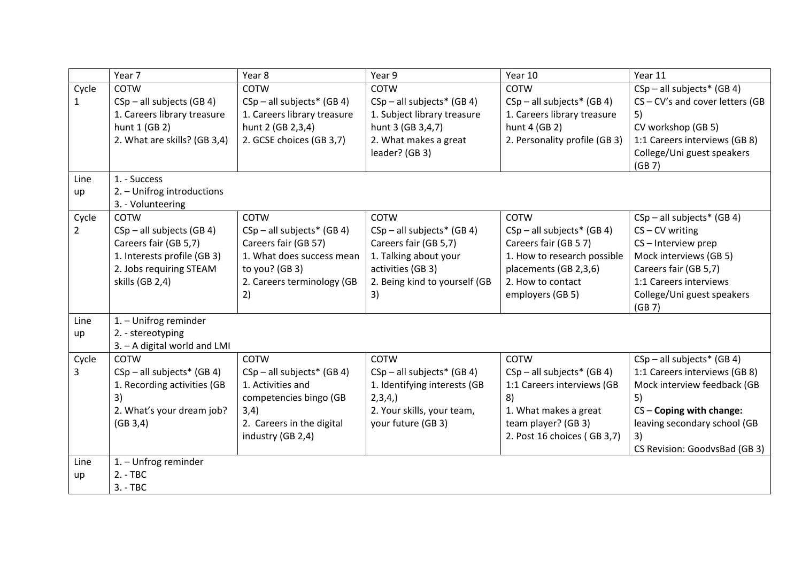|              | Year 7                       | Year 8                       | Year 9                        | Year 10                       | Year 11                           |
|--------------|------------------------------|------------------------------|-------------------------------|-------------------------------|-----------------------------------|
| Cycle        | <b>COTW</b>                  | <b>COTW</b>                  | <b>COTW</b>                   | COTW                          | $CSp - all subjects* (GB 4)$      |
| $\mathbf{1}$ | $CSp - all subjects (GB 4)$  | $CSp - all subjects* (GB 4)$ | $CSp - all subjects* (GB 4)$  | $CSp - all subjects* (GB 4)$  | $CS$ – CV's and cover letters (GB |
|              | 1. Careers library treasure  | 1. Careers library treasure  | 1. Subject library treasure   | 1. Careers library treasure   | 5)                                |
|              | hunt 1 (GB 2)                | hunt 2 (GB 2,3,4)            | hunt 3 (GB 3,4,7)             | hunt 4 (GB 2)                 | CV workshop (GB 5)                |
|              | 2. What are skills? (GB 3,4) | 2. GCSE choices (GB 3,7)     | 2. What makes a great         | 2. Personality profile (GB 3) | 1:1 Careers interviews (GB 8)     |
|              |                              |                              | leader? (GB 3)                |                               | College/Uni guest speakers        |
|              |                              |                              |                               |                               | (GB 7)                            |
| Line         | 1. - Success                 |                              |                               |                               |                                   |
| up           | 2. - Unifrog introductions   |                              |                               |                               |                                   |
|              | 3. - Volunteering            |                              |                               |                               |                                   |
| Cycle        | <b>COTW</b>                  | COTW                         | COTW                          | COTW                          | $CSp - all subjects* (GB 4)$      |
| 2            | $CSp - all subjects (GB 4)$  | $CSp - all subjects* (GB 4)$ | $CSp - all subjects* (GB 4)$  | $CSp - all subjects* (GB 4)$  | $CS - CV$ writing                 |
|              | Careers fair (GB 5,7)        | Careers fair (GB 57)         | Careers fair (GB 5,7)         | Careers fair (GB 57)          | CS-Interview prep                 |
|              | 1. Interests profile (GB 3)  | 1. What does success mean    | 1. Talking about your         | 1. How to research possible   | Mock interviews (GB 5)            |
|              | 2. Jobs requiring STEAM      | to you? (GB 3)               | activities (GB 3)             | placements (GB 2,3,6)         | Careers fair (GB 5,7)             |
|              | skills (GB 2,4)              | 2. Careers terminology (GB   | 2. Being kind to yourself (GB | 2. How to contact             | 1:1 Careers interviews            |
|              |                              | 2)                           | 3)                            | employers (GB 5)              | College/Uni guest speakers        |
| Line         | 1. - Unifrog reminder        |                              |                               |                               | (GB 7)                            |
| up           | 2. - stereotyping            |                              |                               |                               |                                   |
|              | 3. - A digital world and LMI |                              |                               |                               |                                   |
| Cycle        | <b>COTW</b>                  | <b>COTW</b>                  | COTW                          | COTW                          | $CSp - all subjects* (GB 4)$      |
| 3            | $CSp - all subjects* (GB 4)$ | $CSp - all subjects* (GB 4)$ | $CSp - all subjects* (GB 4)$  | $CSp - all subjects* (GB 4)$  | 1:1 Careers interviews (GB 8)     |
|              | 1. Recording activities (GB  | 1. Activities and            | 1. Identifying interests (GB  | 1:1 Careers interviews (GB    | Mock interview feedback (GB       |
|              | 3)                           | competencies bingo (GB       | 2,3,4,                        | 8)                            | 5)                                |
|              | 2. What's your dream job?    | 3,4)                         | 2. Your skills, your team,    | 1. What makes a great         | $CS$ – Coping with change:        |
|              | (GB 3, 4)                    | 2. Careers in the digital    | your future (GB 3)            | team player? (GB 3)           | leaving secondary school (GB      |
|              |                              | industry (GB 2,4)            |                               | 2. Post 16 choices (GB 3,7)   | 3)                                |
|              |                              |                              |                               |                               | CS Revision: GoodvsBad (GB 3)     |
| Line         | 1. - Unfrog reminder         |                              |                               |                               |                                   |
| up           | $2. - TBC$                   |                              |                               |                               |                                   |
|              | $3. - TBC$                   |                              |                               |                               |                                   |